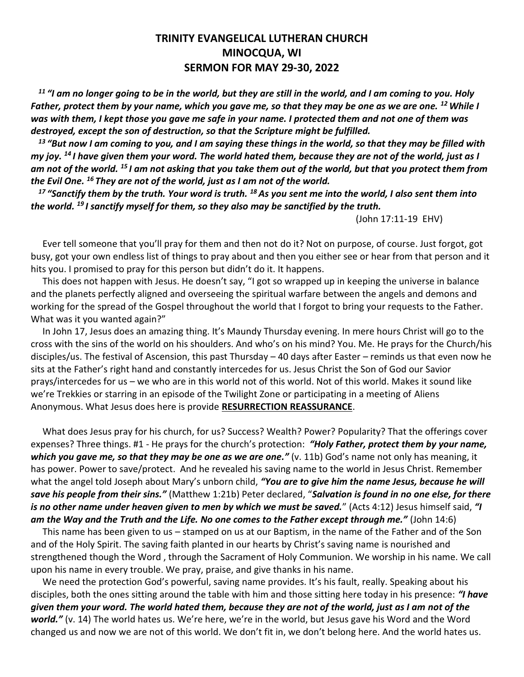## **TRINITY EVANGELICAL LUTHERAN CHURCH MINOCQUA, WI SERMON FOR MAY 29-30, 2022**

*<sup>11</sup> "I am no longer going to be in the world, but they are still in the world, and I am coming to you. Holy Father, protect them by your name, which you gave me, so that they may be one as we are one. <sup>12</sup>While I was with them, I kept those you gave me safe in your name. I protected them and not one of them was destroyed, except the son of destruction, so that the Scripture might be fulfilled.*

*<sup>13</sup> "But now I am coming to you, and I am saying these things in the world, so that they may be filled with my joy. <sup>14</sup> I have given them your word. The world hated them, because they are not of the world, just as I am not of the world. <sup>15</sup> I am not asking that you take them out of the world, but that you protect them from the Evil One. <sup>16</sup> They are not of the world, just as I am not of the world.*

*<sup>17</sup> "Sanctify them by the truth. Your word is truth. <sup>18</sup>As you sent me into the world, I also sent them into the world. <sup>19</sup> I sanctify myself for them, so they also may be sanctified by the truth.*

(John 17:11-19 EHV)

 Ever tell someone that you'll pray for them and then not do it? Not on purpose, of course. Just forgot, got busy, got your own endless list of things to pray about and then you either see or hear from that person and it hits you. I promised to pray for this person but didn't do it. It happens.

 This does not happen with Jesus. He doesn't say, "I got so wrapped up in keeping the universe in balance and the planets perfectly aligned and overseeing the spiritual warfare between the angels and demons and working for the spread of the Gospel throughout the world that I forgot to bring your requests to the Father. What was it you wanted again?"

 In John 17, Jesus does an amazing thing. It's Maundy Thursday evening. In mere hours Christ will go to the cross with the sins of the world on his shoulders. And who's on his mind? You. Me. He prays for the Church/his disciples/us. The festival of Ascension, this past Thursday – 40 days after Easter – reminds us that even now he sits at the Father's right hand and constantly intercedes for us. Jesus Christ the Son of God our Savior prays/intercedes for us – we who are in this world not of this world. Not of this world. Makes it sound like we're Trekkies or starring in an episode of the Twilight Zone or participating in a meeting of Aliens Anonymous. What Jesus does here is provide **RESURRECTION REASSURANCE**.

 What does Jesus pray for his church, for us? Success? Wealth? Power? Popularity? That the offerings cover expenses? Three things. #1 - He prays for the church's protection: *"Holy Father, protect them by your name, which you gave me, so that they may be one as we are one."* (v. 11b) God's name not only has meaning, it has power. Power to save/protect. And he revealed his saving name to the world in Jesus Christ. Remember what the angel told Joseph about Mary's unborn child, *"You are to give him the name Jesus, because he will save his people from their sins."* (Matthew 1:21b) Peter declared, "*Salvation is found in no one else, for there is no other name under heaven given to men by which we must be saved.*" (Acts 4:12) Jesus himself said, *"I am the Way and the Truth and the Life. No one comes to the Father except through me."* (John 14:6)

 This name has been given to us – stamped on us at our Baptism, in the name of the Father and of the Son and of the Holy Spirit. The saving faith planted in our hearts by Christ's saving name is nourished and strengthened though the Word , through the Sacrament of Holy Communion. We worship in his name. We call upon his name in every trouble. We pray, praise, and give thanks in his name.

We need the protection God's powerful, saving name provides. It's his fault, really. Speaking about his disciples, both the ones sitting around the table with him and those sitting here today in his presence: *"I have given them your word. The world hated them, because they are not of the world, just as I am not of the world."* (v. 14) The world hates us. We're here, we're in the world, but Jesus gave his Word and the Word changed us and now we are not of this world. We don't fit in, we don't belong here. And the world hates us.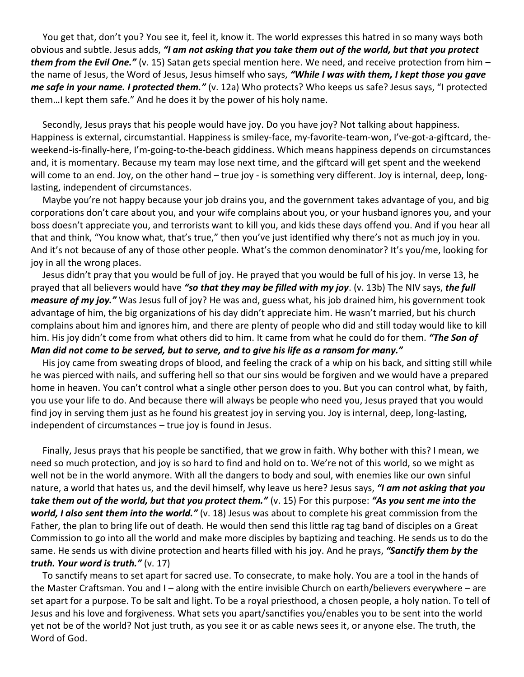You get that, don't you? You see it, feel it, know it. The world expresses this hatred in so many ways both obvious and subtle. Jesus adds, *"I am not asking that you take them out of the world, but that you protect them from the Evil One."* (v. 15) Satan gets special mention here. We need, and receive protection from him – the name of Jesus, the Word of Jesus, Jesus himself who says, *"While I was with them, I kept those you gave me safe in your name. I protected them."* (v. 12a) Who protects? Who keeps us safe? Jesus says, "I protected them…I kept them safe." And he does it by the power of his holy name.

 Secondly, Jesus prays that his people would have joy. Do you have joy? Not talking about happiness. Happiness is external, circumstantial. Happiness is smiley-face, my-favorite-team-won, I've-got-a-giftcard, theweekend-is-finally-here, I'm-going-to-the-beach giddiness. Which means happiness depends on circumstances and, it is momentary. Because my team may lose next time, and the giftcard will get spent and the weekend will come to an end. Joy, on the other hand – true joy - is something very different. Joy is internal, deep, longlasting, independent of circumstances.

 Maybe you're not happy because your job drains you, and the government takes advantage of you, and big corporations don't care about you, and your wife complains about you, or your husband ignores you, and your boss doesn't appreciate you, and terrorists want to kill you, and kids these days offend you. And if you hear all that and think, "You know what, that's true," then you've just identified why there's not as much joy in you. And it's not because of any of those other people. What's the common denominator? It's you/me, looking for joy in all the wrong places.

 Jesus didn't pray that you would be full of joy. He prayed that you would be full of his joy. In verse 13, he prayed that all believers would have *"so that they may be filled with my joy*. (v. 13b) The NIV says, *the full measure of my joy."* Was Jesus full of joy? He was and, guess what, his job drained him, his government took advantage of him, the big organizations of his day didn't appreciate him. He wasn't married, but his church complains about him and ignores him, and there are plenty of people who did and still today would like to kill him. His joy didn't come from what others did to him. It came from what he could do for them. *"The Son of Man did not come to be served, but to serve, and to give his life as a ransom for many."*

 His joy came from sweating drops of blood, and feeling the crack of a whip on his back, and sitting still while he was pierced with nails, and suffering hell so that our sins would be forgiven and we would have a prepared home in heaven. You can't control what a single other person does to you. But you can control what, by faith, you use your life to do. And because there will always be people who need you, Jesus prayed that you would find joy in serving them just as he found his greatest joy in serving you. Joy is internal, deep, long-lasting,

independent of circumstances – true joy is found in Jesus.

 Finally, Jesus prays that his people be sanctified, that we grow in faith. Why bother with this? I mean, we need so much protection, and joy is so hard to find and hold on to. We're not of this world, so we might as well not be in the world anymore. With all the dangers to body and soul, with enemies like our own sinful nature, a world that hates us, and the devil himself, why leave us here? Jesus says, *"I am not asking that you take them out of the world, but that you protect them."* (v. 15) For this purpose: *"As you sent me into the world, I also sent them into the world."* (v. 18) Jesus was about to complete his great commission from the Father, the plan to bring life out of death. He would then send this little rag tag band of disciples on a Great Commission to go into all the world and make more disciples by baptizing and teaching. He sends us to do the same. He sends us with divine protection and hearts filled with his joy. And he prays, *"Sanctify them by the truth. Your word is truth."* (v. 17)

 To sanctify means to set apart for sacred use. To consecrate, to make holy. You are a tool in the hands of the Master Craftsman. You and I – along with the entire invisible Church on earth/believers everywhere – are set apart for a purpose. To be salt and light. To be a royal priesthood, a chosen people, a holy nation. To tell of Jesus and his love and forgiveness. What sets you apart/sanctifies you/enables you to be sent into the world yet not be of the world? Not just truth, as you see it or as cable news sees it, or anyone else. The truth, the Word of God.